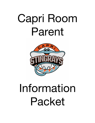# Capri Room Parent



# Information Packet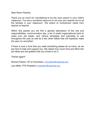Dear Room Parents,

Thank you so much for volunteering to be the room parent in your child's classroom. You are a wonderful resource to not only your teacher but to all the families in your classroom. The extent of involvement varies from teacher to teacher.

Within this packet you will find a general description of the role and responsibilities, communication tips, a list of useful organizational tools to make your job easier, and various templates and examples to use throughout the year as well as a few other tidbits that will hopefully make the year run smoother!

If there is ever a time that you need something please let us know, as we are here to help and support you. We realize how much time and effort this job takes and are grateful that you chose to do it.

Thanks again!!

Denise Preston, VP of Volunteers, volunteers@capripta.org

Lani Miller, PTA President, president@capripta.org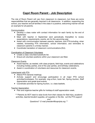# **Capri Room Parent - Job Description**

The role of Room Parent will vary from classroom to classroom, but there are some responsibilities that are generally required in all classrooms. In addition, supporting the school, your teacher and all families in the class in a positive, welcoming manner will set an example for all parents.

#### **Communication**

- Develop a class roster with contact information for each family by the end of September.
- Meet with teacher in September (and periodically thereafter) to review expectations, requirements, events, etc for the upcoming year.
- Assist with communication between parents, teachers, and PTA including, when needed, forwarding PTA information, school information, and reminders to classroom parents in a timely manner.
- Coordinate translation of classroom communications (DLI).

#### Coordination of Classroom Volunteers

- Create a class volunteer/substitute list.
- Ensure all volunteer positions within your classroom are filled.

#### Classroom Events

- Assist teacher, as needed, with class projects, field trips, events and celebrations including holiday parties, end of the year parties, and birthday celebrations.
- Assist in coordination of volunteers and resources for classroom events.

#### Liaise/assist with PTA

- Attend PTA General meetings.
- Actively support and encourage participation in all major PTA school activities/fundraisers. For example: Jog-a-thon, book fair, Spring Auction, Staff Appreciation and grade level events.
- Coordinate activities for Spring Auction, i.e. class baskets.

#### Teacher Appreciation

● Plan and organize teacher gifts for holidays & staff appreciation week.

*\*\*\*\*Parents do NOT need to raise funds from their classes for field trips, academic activities, teacher/student supplies, art supplies or the like. Let the PTA support* 

*you!*

*Questions? E-mail president@capripta.org.\*\*\**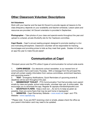# **Other Classroom Volunteer Descriptions**

#### **Art Volunteers**

Work with your teacher and the lead Art Docent to provide regular art lessons to the class (frequency depends on your availability and teacher schedule). Lesson plans and resources are provided. Art Docent orientation is provided in September.

**Photographer** – Take photos of your class and special events throughout the year and upload to a shared, private Shutterfly site for the Yearbook committee.

**Capri Reads** - Capri's annual reading program designed to promote reading in a fun and motivating atmosphere. Classroom volunteer will be responsible for tracking hours/pages and providing prizes to kids as they meet their goals. Grades 4-6 will use an app this year to make the job easier!

# **Communication at Capri**

Principal Lancon and the PTA utilize 5 types of communication for school-wide events

1. **CAPRI BREEZE** - Our electronic school newsletter, is our newest form of communication that is sent every Thursday. With a message from the principal this email will contain weekly information from various committees, enrichment teachers, and upcoming events.\*\*

2. **TEXT** - Emergency Notifications, Quick Reminders of upcoming events & deadlines will be sent throughout the year.

3. **MEMBERSHIP TOOLKIT** - PTA Communication Tool that provides room parent emails by class and grade, school wide emails, volunteer sign ups, & online sales. We encourage you to download the app. Register @ capripta.membershiptoolkit.com

4. **BACKPACK FLYERS** - Keep a look out….As we try to keep as green as possible, there are some flyers that may be sent home in backpacks!

5. **WEBSITES** - Capri Elementary Website – www.eusd.net /capri and PTA Website – www.capripta.org

\*\*Please note: If you are NOT receiving a text or emails, please check the office as your parent information card may need to be updated.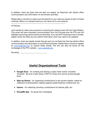In addition, there are flyers that are sent out weekly via PeachJar with district office communication and information on enrichment activities.

Please take a moment to make sure the parents in your class are aware of each of these methods. Below is a sample email you can send out to your parents.

---------------------------------------------------------------------------

Hi Parents,

Just wanted to make sure everyone is receiving the weekly email with the Capri Breeze. This email will have important communication from the Principal and the PTA and will highlight upcoming school events and activities. If you are NOT receiving a text or emails, please check the office as your parent information card may need to be updated.

In addition, there are weekly emails that get sent out via PeachJar that has district office communication and information on enrichment activities. Please take a minute to register at www.peachjar.com to receive these emails. The link can also be found on the homepage of the PTA website - www.capripta.org.

Sincerely, \_\_\_\_\_\_\_\_\_\_\_\_\_\_\_\_\_\_\_\_\_\_\_\_\_\_\_\_\_

# **Useful Organizational Tools**

- **Google Docs**  for creating and sharing a class roster and/or volunteer schedule. Be sure to also share a PDF for those who cannot access google docs.
- **Sign-up Genius** for organizing contributions to the auction basket, needs for classroom events/parties, helping organize parent/teacher conferences, etc
- **Venmo**  for collecting voluntary contributions for teacher gifts, etc.
- **GroupMe App**  for group text messaging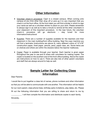# **Other Information**

- Volunteer check-in procedure: Capri is a closed campus. When coming onto campus at any time other than drop off or pick-up it is very important that you check in at the front office. At the front desk you will find a binder in which to sign your name as well as a volunteer sticker to place on your shirt. Please remember to always sign-in as well as to take a minute to remind all the other volunteers in your classroom of this important procedure. In the near future, the volunteer check-in procedure will go electronic – stay tuned for more information/instructions!
- Supplies: There are a number of supplies available for the teachers and their classroom in the main building/front office building. Near the copy machine you will find a laminator (instructions are above it), many different colors of 12"x18" construction paper, lined paper, pencils, pens, paper clips, etc. Some items are on shelves and others are within the drawers below the teacher mailboxes.
- Copier: Paper is available through your teacher. Each teacher is given paper throughout the year to use and to share with volunteers for making copies. The copier is located on the southern end of the front office building. Above the copier are instructions on how to use it. There are also lots of other parent volunteers and staff that are always around to help as well.

### **Sample Letter for Collecting Class Information**

Dear Parents:

\_\_\_\_\_\_\_\_\_\_\_\_\_\_\_\_\_\_\_\_\_\_\_

I would like to put together a class list of names, phone numbers and other information so that you will be able to communicate with one another. This information will be helpful for our room parent, class phone trees, birthday party invitations, play dates, etc. Please fill out the following information that you are willing to share and return to me by

\_\_\_\_\_\_\_\_\_\_\_. I will then compile the information and distribute copies to each family. Sincerely,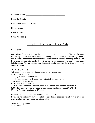## Sample Letter for A Holiday Party

Hello Parents,

Our Holiday Party is scheduled for \_\_\_\_\_\_\_\_\_\_\_\_\_\_\_\_ at \_\_\_\_\_\_\_\_\_\_\_\_\_. The list of events for the day include: making an ornament, cutting out snowflakes, a holiday Bingo game, and making a snowman with white chalk. The children will also be watching a movie The Polar Bear Express after lunch. They will be having hot cocoa and holiday cookies. Your help is needed. We are requesting volunteers to assist us with a list of items needed for our celebration.

The list is as follows:

- 1. 3 dozen holiday cookies- 3 people can bring 1 dozen each
- 2. 30 Styrofoam cups
- 3. 1 bag of small marshmallows
- 4. 4 Holiday tablecloths- 2 people can bring in 2 tablecloths each
- 5. 30 small Holiday plates
- 6. 30 small Holiday napkins
- 7. 10 medicine droppers- you can bring in used ones from home if you have it
- 8. 30 white sidewalk chalks (needs to be average size big one about 1/2" by 4-
- 5" long)- 2 people can bring in 15 each

Please turn in all the items the day of the event (DATE)

If you are interested in volunteering to bring an item, please reply to all in your email so everyone knows which items have been taken.

Thank you for your help, Your Name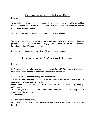## Sample Letter for End of Year Party

Parents,

\_\_\_\_\_\_\_\_\_\_\_\_\_\_\_\_\_\_\_

We are celebrating the last day of XX grade with a picnic on the lower field! We are asking for a \$X donation that will pay for pizza, a drink, fruit, and dessert. All parents are invited to the party! Bring a blanket!

You can send the donation in with your child or VENMO me at @xxxxxxxxxx.

Vamos a celebrar el ultimo dia de primer grado con un picnic en el pasto. Estamos pidiendo una donación de \$X para pizza, jugo, fruta, y postre, Todos los padres están invitados a la fiesta! Traigan una cobija!

Puede enviar la donación con su hijo o VENMO conmigo a @xxxxxxxxxx.

# Sample Letter for Staff Appreciation Week

Hi families!

Staff appreciation week is next week and let's show XXXXXXXXXX how grateful we are for everything she does for our children. Here is what you can do:

1. Sign up for one of the following extra treats for XXXXX:

Starbucks coffee: Bring her an Iced Caramel Macchiato any day(s) next week (would be great to do this twice- you pick the day)

Lunch: Bring her a Chicken Caesar Salad from Panera for lunch on Monday, Tuesday, or Thursday.

Treat/small gift: Send some kind of special treat (muffin, cookie, snack, candy, etc) or small gift any day of the week.

Another idea?

2. Participate in the following:

• Monday – Bring a Flower of Choice (there will be a vase where your child can put his/her flower)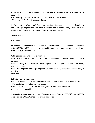• Tuesday – Bring in a Farm Fresh Fruit or Vegetable to create a basket (basket will be provided).

• Wednesday - A SPECIAL NOTE of appreciation for your teacher

• Thursday – A Fun/Healthy Snack of Choice

3. Contribute to a Target Gift Card from the class. Suggested donation of \$XX/family but anything is appreciated! The children will give this to her on Friday. Please VENMO me at @XXXXXXXXX or give cash to XXXX by next Wednesday.

THANK YOU!!!

Hola Familias,

La semana de apreciación del personal es la próxima semana y queremos demostrarle a XXXXXXXXXXXXXX estamos muy agradecidos por todo lo que hace por nuestros hijos. Esto es lo que pueden hacer:

1. Regístrese para una de las siguientes:

Café de Starbucks: tráigale un "Iced Caramel Macchiato" cualquier día (s) la próxima semana

Almuerzo: tráigale una Ensalada César de pollo de Panera para el almuerzo los lunes, martes o jueves.

Small treat/regalito: envíe algo especial (muffins, galletas, refrigerios, dulces, etc.) o regalillo

Otro idea?

- 2. Participa en lo siguiente:
- Lunes Trae una flor de elección (hay un jarrón donde su hijo puede poner su flor)
- Martes: traiga una fruta o verdura fresca
- Miércoles UNA NOTA ESPECIAL de agradecimiento para su maestro
- Jueves Un bocadillo

3. Contribuya a una tarjeta de regalo Target de la clase. Por favor, VENMO en @ XXXXXX o déle dinero a XXXXX antes del próximo miércoles.